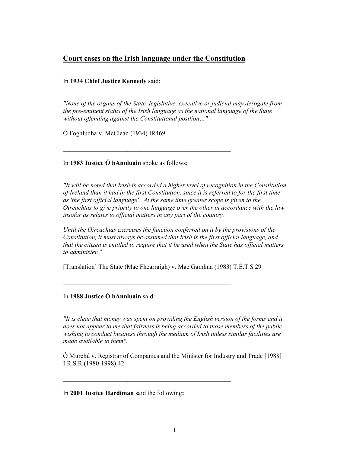## Court cases on the Irish language under the Constitution

\_\_\_\_\_\_\_\_\_\_\_\_\_\_\_\_\_\_\_\_\_\_\_\_\_\_\_\_\_\_\_\_\_\_\_\_\_\_\_\_\_\_\_\_\_\_\_\_\_\_\_\_

## In 1934 Chief Justice Kennedy said:

"None of the organs of the State, legislative, executive or judicial may derogate from the pre-eminent status of the Irish language as the national language of the State without offending against the Constitutional position..."

Ó Foghludha v. McClean (1934) IR469

In 1983 Justice Ó hAnnluain spoke as follows:

"It will be noted that Irish is accorded a higher level of recognition in the Constitution of Ireland than it had in the first Constitution, since it is referred to for the first time as 'the first official language'. At the same time greater scope is given to the Oireachtas to give priority to one language over the other in accordance with the law insofar as relates to official matters in any part of the country.

Until the Oireachtas exercises the function conferred on it by the provisions of the Constitution, it must always be assumed that Irish is the first official language, and that the citizen is entitled to require that it be used when the State has official matters to administer."

[Translation] The State (Mac Fhearraigh) v. Mac Gamhna (1983) T.É.T.S 29

\_\_\_\_\_\_\_\_\_\_\_\_\_\_\_\_\_\_\_\_\_\_\_\_\_\_\_\_\_\_\_\_\_\_\_\_\_\_\_\_\_\_\_\_\_\_\_\_\_\_\_\_

\_\_\_\_\_\_\_\_\_\_\_\_\_\_\_\_\_\_\_\_\_\_\_\_\_\_\_\_\_\_\_\_\_\_\_\_\_\_\_\_\_\_\_\_\_\_\_\_\_\_\_\_

In 1988 Justice Ó hAnnluain said:

"It is clear that money was spent on providing the English version of the forms and it does not appear to me that fairness is being accorded to those members of the public wishing to conduct business through the medium of Irish unless similar facilities are made available to them".

Ó Murchú v. Registrar of Companies and the Minister for Industry and Trade [1988] I.R.S.R (1980-1998) 42

In 2001 Justice Hardiman said the following: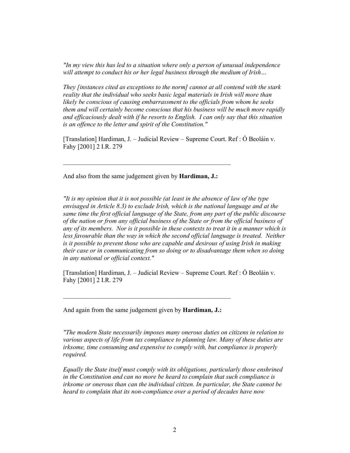"In my view this has led to a situation where only a person of unusual independence will attempt to conduct his or her legal business through the medium of Irish...

They [instances cited as exceptions to the norm] cannot at all contend with the stark reality that the individual who seeks basic legal materials in Irish will more than likely be conscious of causing embarrassment to the officials from whom he seeks them and will certainly become conscious that his business will be much more rapidly and efficaciously dealt with if he resorts to English. I can only say that this situation is an offence to the letter and spirit of the Constitution."

[Translation] Hardiman, J. – Judicial Review – Supreme Court. Ref : Ó Beoláin v. Fahy [2001] 2 I.R. 279

And also from the same judgement given by Hardiman, J.:

\_\_\_\_\_\_\_\_\_\_\_\_\_\_\_\_\_\_\_\_\_\_\_\_\_\_\_\_\_\_\_\_\_\_\_\_\_\_\_\_\_\_\_\_\_\_\_\_\_\_\_\_

"It is my opinion that it is not possible (at least in the absence of law of the type envisaged in Article 8.3) to exclude Irish, which is the national language and at the same time the first official language of the State, from any part of the public discourse of the nation or from any official business of the State or from the official business of any of its members. Nor is it possible in these contexts to treat it in a manner which is less favourable than the way in which the second official language is treated. Neither is it possible to prevent those who are capable and desirous of using Irish in making their case or in communicating from so doing or to disadvantage them when so doing in any national or official context."

[Translation] Hardiman, J. – Judicial Review – Supreme Court. Ref : Ó Beoláin v. Fahy [2001] 2 I.R. 279

And again from the same judgement given by Hardiman, J.:

\_\_\_\_\_\_\_\_\_\_\_\_\_\_\_\_\_\_\_\_\_\_\_\_\_\_\_\_\_\_\_\_\_\_\_\_\_\_\_\_\_\_\_\_\_\_\_\_\_\_\_\_

"The modern State necessarily imposes many onerous duties on citizens in relation to various aspects of life from tax compliance to planning law. Many of these duties are irksome, time consuming and expensive to comply with, but compliance is properly required.

Equally the State itself must comply with its obligations, particularly those enshrined in the Constitution and can no more be heard to complain that such compliance is irksome or onerous than can the individual citizen. In particular, the State cannot be heard to complain that its non-compliance over a period of decades have now